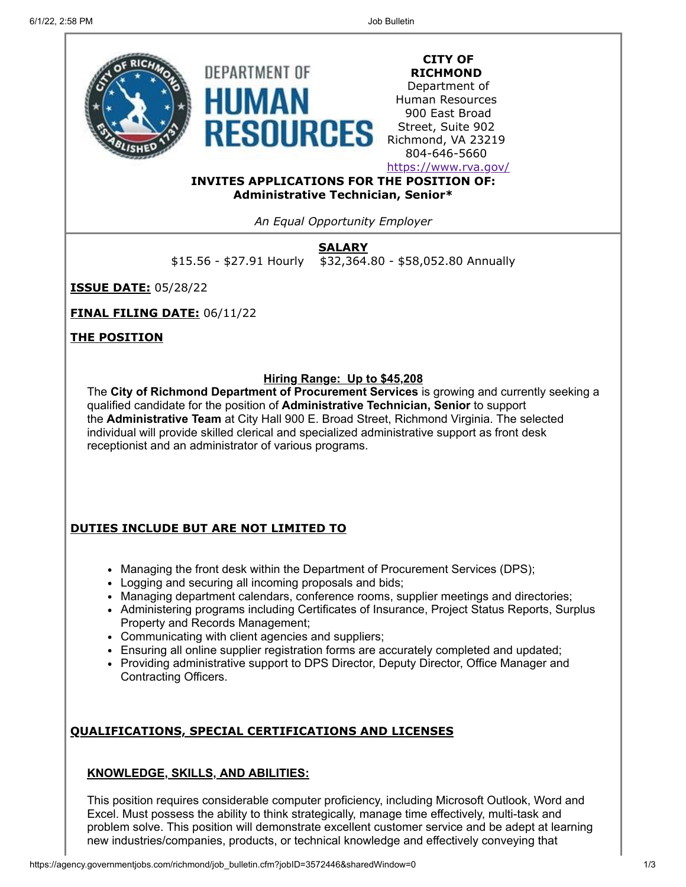

**CITY OF RICHMOND**

Department of Human Resources 900 East Broad Street, Suite 902 Richmond, VA 23219 804-646-5660

<https://www.rva.gov/>

**INVITES APPLICATIONS FOR THE POSITION OF: Administrative Technician, Senior\***

*An Equal Opportunity Employer*

**SALARY**

\$15.56 - \$27.91 Hourly \$32,364.80 - \$58,052.80 Annually

**ISSUE DATE:** 05/28/22

**FINAL FILING DATE:** 06/11/22

**THE POSITION**

# **Hiring Range: Up to \$45,208**

The **City of Richmond Department of Procurement Services** is growing and currently seeking a qualified candidate for the position of **Administrative Technician, Senior** to support the **Administrative Team** at City Hall 900 E. Broad Street, Richmond Virginia. The selected individual will provide skilled clerical and specialized administrative support as front desk receptionist and an administrator of various programs.

# **DUTIES INCLUDE BUT ARE NOT LIMITED TO**

- Managing the front desk within the Department of Procurement Services (DPS);
- Logging and securing all incoming proposals and bids;
- Managing department calendars, conference rooms, supplier meetings and directories;
- Administering programs including Certificates of Insurance, Project Status Reports, Surplus Property and Records Management;
- Communicating with client agencies and suppliers;
- Ensuring all online supplier registration forms are accurately completed and updated;
- Providing administrative support to DPS Director, Deputy Director, Office Manager and Contracting Officers.

# **QUALIFICATIONS, SPECIAL CERTIFICATIONS AND LICENSES**

## **KNOWLEDGE, SKILLS, AND ABILITIES:**

This position requires considerable computer proficiency, including Microsoft Outlook, Word and Excel. Must possess the ability to think strategically, manage time effectively, multi-task and problem solve. This position will demonstrate excellent customer service and be adept at learning new industries/companies, products, or technical knowledge and effectively conveying that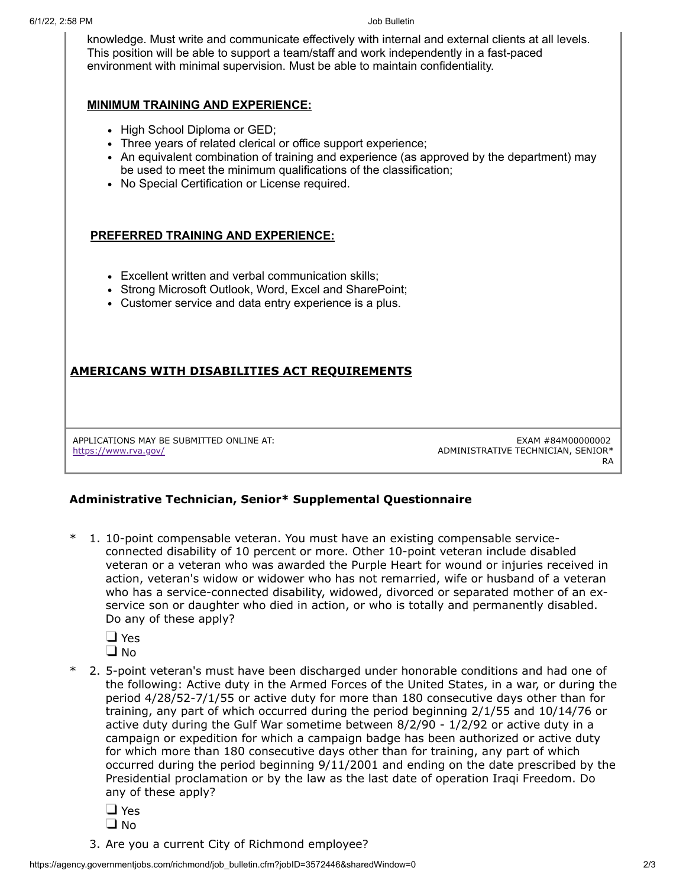knowledge. Must write and communicate effectively with internal and external clients at all levels. This position will be able to support a team/staff and work independently in a fast-paced environment with minimal supervision. Must be able to maintain confidentiality.

### **MINIMUM TRAINING AND EXPERIENCE:**

- High School Diploma or GED;
- Three years of related clerical or office support experience;
- An equivalent combination of training and experience (as approved by the department) may be used to meet the minimum qualifications of the classification;
- No Special Certification or License required.

### **PREFERRED TRAINING AND EXPERIENCE:**

- Excellent written and verbal communication skills;
- Strong Microsoft Outlook, Word, Excel and SharePoint;
- Customer service and data entry experience is a plus.

## **AMERICANS WITH DISABILITIES ACT REQUIREMENTS**

APPLICATIONS MAY BE SUBMITTED ONLINE AT: <https://www.rva.gov/>

EXAM #84M00000002 ADMINISTRATIVE TECHNICIAN, SENIOR\* RA

### **Administrative Technician, Senior\* Supplemental Questionnaire**

1. 10-point compensable veteran. You must have an existing compensable serviceconnected disability of 10 percent or more. Other 10-point veteran include disabled veteran or a veteran who was awarded the Purple Heart for wound or injuries received in action, veteran's widow or widower who has not remarried, wife or husband of a veteran who has a service-connected disability, widowed, divorced or separated mother of an exservice son or daughter who died in action, or who is totally and permanently disabled. Do any of these apply?

**D** Yes

- $\Box$  No
- \* 2. 5-point veteran's must have been discharged under honorable conditions and had one of the following: Active duty in the Armed Forces of the United States, in a war, or during the period 4/28/52-7/1/55 or active duty for more than 180 consecutive days other than for training, any part of which occurred during the period beginning 2/1/55 and 10/14/76 or active duty during the Gulf War sometime between 8/2/90 - 1/2/92 or active duty in a campaign or expedition for which a campaign badge has been authorized or active duty for which more than 180 consecutive days other than for training, any part of which occurred during the period beginning 9/11/2001 and ending on the date prescribed by the Presidential proclamation or by the law as the last date of operation Iraqi Freedom. Do any of these apply?
	- **D** Yes
	- $\Box$  No
	- 3. Are you a current City of Richmond employee?